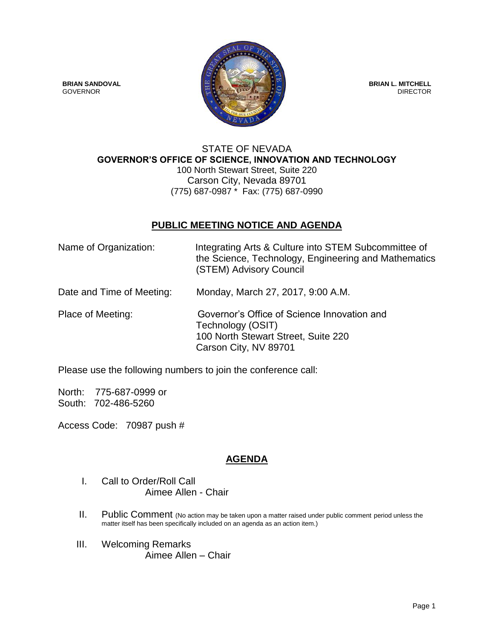

#### STATE OF NEVADA **GOVERNOR'S OFFICE OF SCIENCE, INNOVATION AND TECHNOLOGY** 100 North Stewart Street, Suite 220 Carson City, Nevada 89701 (775) 687-0987<sup>\*</sup> Fax: (775) 687-0990

### **PUBLIC MEETING NOTICE AND AGENDA**

| Name of Organization:     | Integrating Arts & Culture into STEM Subcommittee of<br>the Science, Technology, Engineering and Mathematics<br>(STEM) Advisory Council |
|---------------------------|-----------------------------------------------------------------------------------------------------------------------------------------|
| Date and Time of Meeting: | Monday, March 27, 2017, 9:00 A.M.                                                                                                       |
| Place of Meeting:         | Governor's Office of Science Innovation and<br>Technology (OSIT)<br>100 North Stewart Street, Suite 220<br>Carson City, NV 89701        |

Please use the following numbers to join the conference call:

North: 775-687-0999 or South: 702-486-5260

Access Code: 70987 push #

# **AGENDA**

- I. Call to Order/Roll Call Aimee Allen - Chair
- II. Public Comment (No action may be taken upon a matter raised under public comment period unless the matter itself has been specifically included on an agenda as an action item.)
- III. Welcoming Remarks Aimee Allen – Chair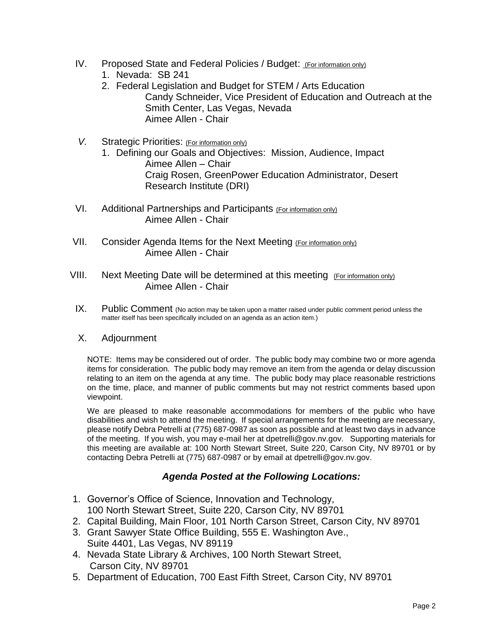- IV. Proposed State and Federal Policies / Budget: (For information only)
	- 1. Nevada: SB 241
	- 2. Federal Legislation and Budget for STEM / Arts Education Candy Schneider, Vice President of Education and Outreach at the Smith Center, Las Vegas, Nevada Aimee Allen - Chair
- V. Strategic Priorities: (For information only)
	- 1. Defining our Goals and Objectives: Mission, Audience, Impact Aimee Allen – Chair Craig Rosen, GreenPower Education Administrator, Desert Research Institute (DRI)
- VI. Additional Partnerships and Participants (For information only) Aimee Allen - Chair
- VII. Consider Agenda Items for the Next Meeting (For information only) Aimee Allen - Chair
- VIII. Next Meeting Date will be determined at this meeting (For information only) Aimee Allen - Chair
- IX. Public Comment (No action may be taken upon a matter raised under public comment period unless the matter itself has been specifically included on an agenda as an action item.)

#### X. Adjournment

NOTE: Items may be considered out of order. The public body may combine two or more agenda items for consideration. The public body may remove an item from the agenda or delay discussion relating to an item on the agenda at any time. The public body may place reasonable restrictions on the time, place, and manner of public comments but may not restrict comments based upon viewpoint.

We are pleased to make reasonable accommodations for members of the public who have disabilities and wish to attend the meeting. If special arrangements for the meeting are necessary, please notify Debra Petrelli at (775) 687-0987 as soon as possible and at least two days in advance of the meeting. If you wish, you may e-mail her at dpetrelli@gov.nv.gov. Supporting materials for this meeting are available at: 100 North Stewart Street, Suite 220, Carson City, NV 89701 or by contacting Debra Petrelli at (775) 687-0987 or by email at dpetrelli@gov.nv.gov.

# *Agenda Posted at the Following Locations:*

- 1. Governor's Office of Science, Innovation and Technology, 100 North Stewart Street, Suite 220, Carson City, NV 89701
- 2. Capital Building, Main Floor, 101 North Carson Street, Carson City, NV 89701
- 3. Grant Sawyer State Office Building, 555 E. Washington Ave., Suite 4401, Las Vegas, NV 89119
- 4. Nevada State Library & Archives, 100 North Stewart Street, Carson City, NV 89701
- 5. Department of Education, 700 East Fifth Street, Carson City, NV 89701